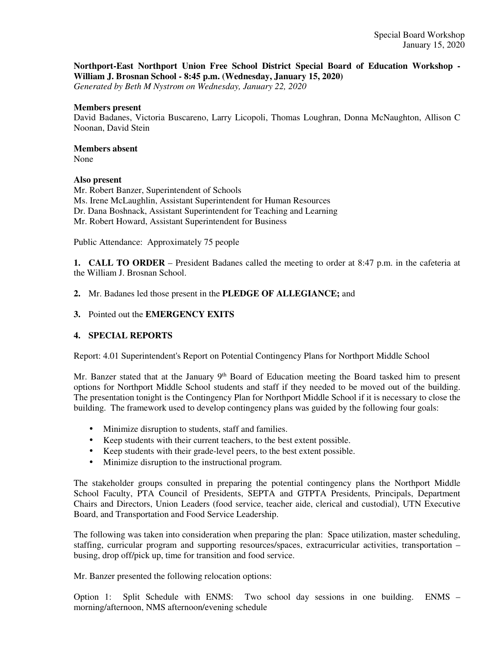# **Northport-East Northport Union Free School District Special Board of Education Workshop - William J. Brosnan School - 8:45 p.m. (Wednesday, January 15, 2020)**

*Generated by Beth M Nystrom on Wednesday, January 22, 2020*

#### **Members present**

David Badanes, Victoria Buscareno, Larry Licopoli, Thomas Loughran, Donna McNaughton, Allison C Noonan, David Stein

# **Members absent**

None

# **Also present**

Mr. Robert Banzer, Superintendent of Schools Ms. Irene McLaughlin, Assistant Superintendent for Human Resources Dr. Dana Boshnack, Assistant Superintendent for Teaching and Learning Mr. Robert Howard, Assistant Superintendent for Business

Public Attendance: Approximately 75 people

**1. CALL TO ORDER** – President Badanes called the meeting to order at 8:47 p.m. in the cafeteria at the William J. Brosnan School.

**2.** Mr. Badanes led those present in the **PLEDGE OF ALLEGIANCE;** and

### **3.** Pointed out the **EMERGENCY EXITS**

# **4. SPECIAL REPORTS**

Report: 4.01 Superintendent's Report on Potential Contingency Plans for Northport Middle School

Mr. Banzer stated that at the January 9<sup>th</sup> Board of Education meeting the Board tasked him to present options for Northport Middle School students and staff if they needed to be moved out of the building. The presentation tonight is the Contingency Plan for Northport Middle School if it is necessary to close the building. The framework used to develop contingency plans was guided by the following four goals:

- Minimize disruption to students, staff and families.
- Keep students with their current teachers, to the best extent possible.
- Keep students with their grade-level peers, to the best extent possible.
- Minimize disruption to the instructional program.

The stakeholder groups consulted in preparing the potential contingency plans the Northport Middle School Faculty, PTA Council of Presidents, SEPTA and GTPTA Presidents, Principals, Department Chairs and Directors, Union Leaders (food service, teacher aide, clerical and custodial), UTN Executive Board, and Transportation and Food Service Leadership.

The following was taken into consideration when preparing the plan: Space utilization, master scheduling, staffing, curricular program and supporting resources/spaces, extracurricular activities, transportation – busing, drop off/pick up, time for transition and food service.

Mr. Banzer presented the following relocation options:

Option 1: Split Schedule with ENMS: Two school day sessions in one building. ENMS – morning/afternoon, NMS afternoon/evening schedule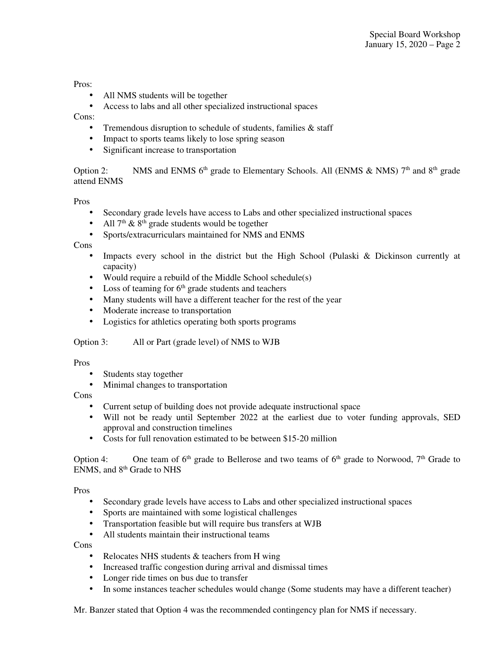#### Pros:

- All NMS students will be together
- Access to labs and all other specialized instructional spaces

## Cons:

- Tremendous disruption to schedule of students, families & staff
- Impact to sports teams likely to lose spring season
- Significant increase to transportation

Option 2: NMS and ENMS  $6<sup>th</sup>$  grade to Elementary Schools. All (ENMS & NMS)  $7<sup>th</sup>$  and  $8<sup>th</sup>$  grade attend ENMS

### Pros

- Secondary grade levels have access to Labs and other specialized instructional spaces
- All  $7<sup>th</sup>$  &  $8<sup>th</sup>$  grade students would be together
- Sports/extracurriculars maintained for NMS and ENMS

# Cons

- Impacts every school in the district but the High School (Pulaski & Dickinson currently at capacity)
- Would require a rebuild of the Middle School schedule(s)
- Loss of teaming for  $6<sup>th</sup>$  grade students and teachers
- Many students will have a different teacher for the rest of the year
- Moderate increase to transportation
- Logistics for athletics operating both sports programs

# Option 3: All or Part (grade level) of NMS to WJB

# Pros

- Students stay together
- Minimal changes to transportation

# Cons

- Current setup of building does not provide adequate instructional space
- Will not be ready until September 2022 at the earliest due to voter funding approvals, SED approval and construction timelines
- Costs for full renovation estimated to be between \$15-20 million

Option 4: One team of  $6<sup>th</sup>$  grade to Bellerose and two teams of  $6<sup>th</sup>$  grade to Norwood,  $7<sup>th</sup>$  Grade to ENMS, and 8th Grade to NHS

# Pros

- Secondary grade levels have access to Labs and other specialized instructional spaces
- Sports are maintained with some logistical challenges
- Transportation feasible but will require bus transfers at WJB
- All students maintain their instructional teams

Cons

- Relocates NHS students & teachers from H wing
- Increased traffic congestion during arrival and dismissal times
- Longer ride times on bus due to transfer
- In some instances teacher schedules would change (Some students may have a different teacher)

Mr. Banzer stated that Option 4 was the recommended contingency plan for NMS if necessary.